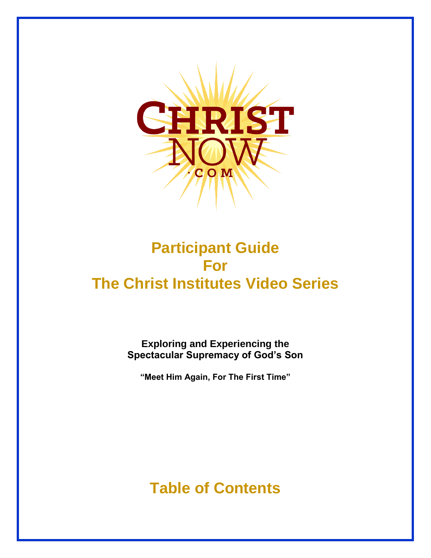

## **Participant Guide For The Christ Institutes Video Series**

**Exploring and Experiencing the Spectacular Supremacy of God's Son**

**"Meet Him Again, For The First Time"**

**Table of Contents**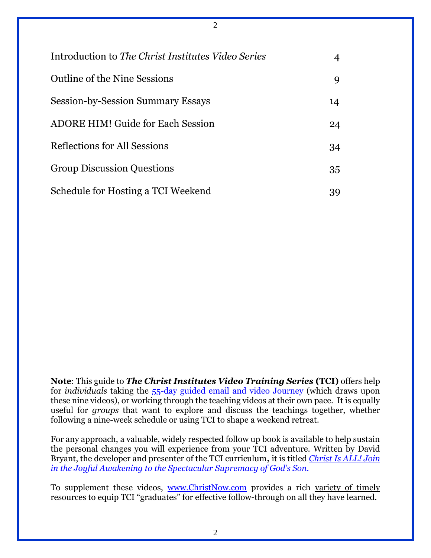| Introduction to <i>The Christ Institutes Video Series</i> | 4  |
|-----------------------------------------------------------|----|
| Outline of the Nine Sessions                              | 9  |
| <b>Session-by-Session Summary Essays</b>                  | 14 |
| <b>ADORE HIM! Guide for Each Session</b>                  | 24 |
| Reflections for All Sessions                              |    |
| <b>Group Discussion Questions</b>                         |    |
| Schedule for Hosting a TCI Weekend                        | 39 |

2

**Note**: This guide to *The Christ Institutes Video Training Series* **(TCI)** offers help for *individuals* taking the 55-day [guided email and video Journey](http://www.christnow.com/my-christ-awakening-journey/) (which draws upon these nine videos), or working through the teaching videos at their own pace. It is equally useful for *groups* that want to explore and discuss the teachings together, whether following a nine-week schedule or using TCI to shape a weekend retreat.

For any approach, a valuable, widely respected follow up book is available to help sustain the personal changes you will experience from your TCI adventure. Written by David Bryant, the developer and presenter of the TCI curriculum**,** it is titled *[Christ Is ALL! Join](http://readcia.com/)  [in the Joyful Awakening to the Spectacular Supremacy of God's Son.](http://readcia.com/)*

To supplement these videos, www[.ChristNow.com](http://www.christnow.com/) provides a rich variety of timely [resources](http://www.thechristinstitutes.org/resources/) to equip TCI "graduates" for effective follow-through on all they have learned.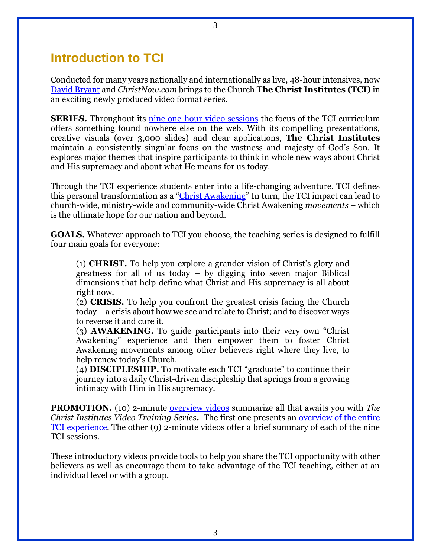### **Introduction to TCI**

Conducted for many years nationally and internationally as live, 48-hour intensives, now [David Bryant](https://www.proclaimhope.org/content/bryantBio) and *ChristNow.com* brings to the Church **The Christ Institutes (TCI)** in an exciting newly produced video format series.

**SERIES.** Throughout its [nine one-hour video sessions](http://www.christnow.com/christ-institutes-overview/) the focus of the TCI curriculum offers something found nowhere else on the web. With its compelling presentations, creative visuals (over 3,000 slides) and clear applications, **The Christ Institutes** maintain a consistently singular focus on the vastness and majesty of God's Son. It explores major themes that inspire participants to think in whole new ways about Christ and His supremacy and about what He means for us today.

Through the TCI experience students enter into a life-changing adventure. TCI defines this personal transformation as a "[Christ Awakening](http://www.christnow.com/what-is-a-christ-awakening/)" In turn, the TCI impact can lead to church-wide, ministry-wide and community-wide Christ Awakening *movements* – which is the ultimate hope for our nation and beyond.

**GOALS.** Whatever approach to TCI you choose, the teaching series is designed to fulfill four main goals for everyone:

(1) **CHRIST.** To help you explore a grander vision of Christ's glory and greatness for all of us today – by digging into seven major Biblical dimensions that help define what Christ and His supremacy is all about right now.

(2) **CRISIS.** To help you confront the greatest crisis facing the Church today – a crisis about how we see and relate to Christ; and to discover ways to reverse it and cure it.

(3) **AWAKENING.** To guide participants into their very own "Christ Awakening" experience and then empower them to foster Christ Awakening movements among other believers right where they live, to help renew today's Church.

(4) **DISCIPLESHIP.** To motivate each TCI "graduate" to continue their journey into a daily Christ-driven discipleship that springs from a growing intimacy with Him in His supremacy.

**PROMOTION.** (10) 2-minute [overview videos](http://www.christnow.com/christ-institutes-overview/) summarize all that awaits you with *The Christ Institutes Video Training Series***.** The first one presents an [overview of the entire](http://www.christnow.com/session/series-overview/)  [TCI experience.](http://www.christnow.com/session/series-overview/) The other (9) 2-minute videos offer a brief summary of each of the nine TCI sessions.

These introductory videos provide tools to help you share the TCI opportunity with other believers as well as encourage them to take advantage of the TCI teaching, either at an individual level or with a group.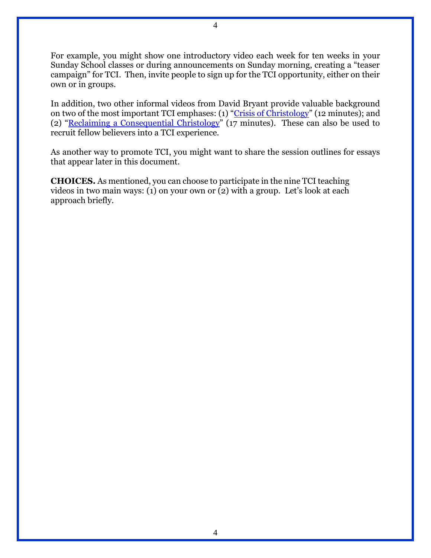For example, you might show one introductory video each week for ten weeks in your Sunday School classes or during announcements on Sunday morning, creating a "teaser campaign" for TCI. Then, invite people to sign up for the TCI opportunity, either on their own or in groups.

In addition, two other informal videos from David Bryant provide valuable background on two of the most important TCI emphases: (1) "[Crisis of Christology](https://vimeo.com/48995361)" (12 minutes); and (2) "[Reclaiming a Consequential](https://vimeo.com/49770044) Christology" (17 minutes). These can also be used to recruit fellow believers into a TCI experience.

As another way to promote TCI, you might want to share the session outlines for essays that appear later in this document.

**CHOICES.** As mentioned, you can choose to participate in the nine TCI teaching videos in two main ways: (1) on your own or (2) with a group. Let's look at each approach briefly.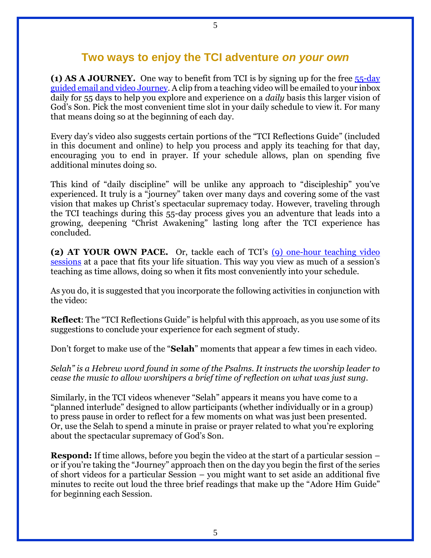### **Two ways to enjoy the TCI adventure** *on your own*

**(1) AS A JOURNEY.** One way to benefit from TCI is by signing up for the free [55-day](http://www.christnow.com/my-christ-awakening-journey/)  [guided email and video Journey.](http://www.christnow.com/my-christ-awakening-journey/) A clip from a teaching video will be emailed to your inbox daily for 55 days to help you explore and experience on a *daily* basis this larger vision of God's Son. Pick the most convenient time slot in your daily schedule to view it. For many that means doing so at the beginning of each day.

Every day's video also suggests certain portions of the "TCI Reflections Guide" (included in this document and online) to help you process and apply its teaching for that day, encouraging you to end in prayer. If your schedule allows, plan on spending five additional minutes doing so.

This kind of "daily discipline" will be unlike any approach to "discipleship" you've experienced. It truly is a "journey" taken over many days and covering some of the vast vision that makes up Christ's spectacular supremacy today. However, traveling through the TCI teachings during this 55-day process gives you an adventure that leads into a growing, deepening "Christ Awakening" lasting long after the TCI experience has concluded.

**(2) AT YOUR OWN PACE.** Or, tackle each of TCI's [\(9\) one-hour teaching video](http://www.christnow.com/christ-institutes-overview/)  [sessions](http://www.christnow.com/christ-institutes-overview/) at a pace that fits your life situation. This way you view as much of a session's teaching as time allows, doing so when it fits most conveniently into your schedule.

As you do, it is suggested that you incorporate the following activities in conjunction with the video:

**Reflect**: The "TCI Reflections Guide" is helpful with this approach, as you use some of its suggestions to conclude your experience for each segment of study.

Don't forget to make use of the "**Selah**" moments that appear a few times in each video.

*Selah" is a Hebrew word found in some of the Psalms. It instructs the worship leader to cease the music to allow worshipers a brief time of reflection on what was just sung.* 

Similarly, in the TCI videos whenever "Selah" appears it means you have come to a "planned interlude" designed to allow participants (whether individually or in a group) to press pause in order to reflect for a few moments on what was just been presented. Or, use the Selah to spend a minute in praise or prayer related to what you're exploring about the spectacular supremacy of God's Son.

**Respond:** If time allows, before you begin the video at the start of a particular session – or if you're taking the "Journey" approach then on the day you begin the first of the series of short videos for a particular Session – you might want to set aside an additional five minutes to recite out loud the three brief readings that make up the "Adore Him Guide" for beginning each Session.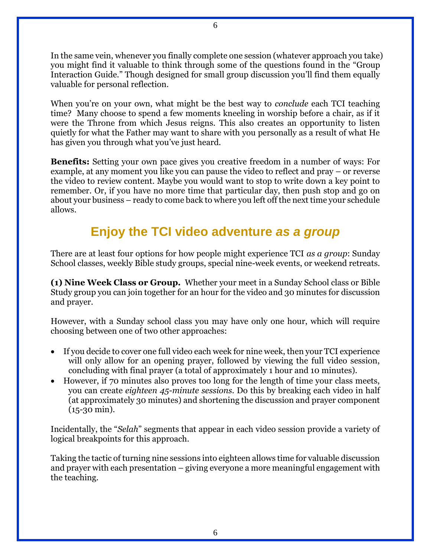In the same vein, whenever you finally complete one session (whatever approach you take) you might find it valuable to think through some of the questions found in the "Group Interaction Guide." Though designed for small group discussion you'll find them equally valuable for personal reflection.

When you're on your own, what might be the best way to *conclude* each TCI teaching time?Many choose to spend a few moments kneeling in worship before a chair, as if it were the Throne from which Jesus reigns. This also creates an opportunity to listen quietly for what the Father may want to share with you personally as a result of what He has given you through what you've just heard.

**Benefits:** Setting your own pace gives you creative freedom in a number of ways: For example, at any moment you like you can pause the video to reflect and pray – or reverse the video to review content. Maybe you would want to stop to write down a key point to remember. Or, if you have no more time that particular day, then push stop and go on about your business – ready to come back to where you left off the next time your schedule allows.

## **Enjoy the TCI video adventure** *as a group*

There are at least four options for how people might experience TCI *as a group*: Sunday School classes, weekly Bible study groups, special nine-week events, or weekend retreats.

**(1) Nine Week Class or Group.** Whether your meet in a Sunday School class or Bible Study group you can join together for an hour for the video and 30 minutes for discussion and prayer.

However, with a Sunday school class you may have only one hour, which will require choosing between one of two other approaches:

- If you decide to cover one full video each week for nine week, then your TCI experience will only allow for an opening prayer, followed by viewing the full video session, concluding with final prayer (a total of approximately 1 hour and 10 minutes).
- However, if 70 minutes also proves too long for the length of time your class meets, you can create *eighteen 45-minute sessions.* Do this by breaking each video in half (at approximately 30 minutes) and shortening the discussion and prayer component (15-30 min).

Incidentally, the "*Selah*" segments that appear in each video session provide a variety of logical breakpoints for this approach.

Taking the tactic of turning nine sessions into eighteen allows time for valuable discussion and prayer with each presentation – giving everyone a more meaningful engagement with the teaching.

6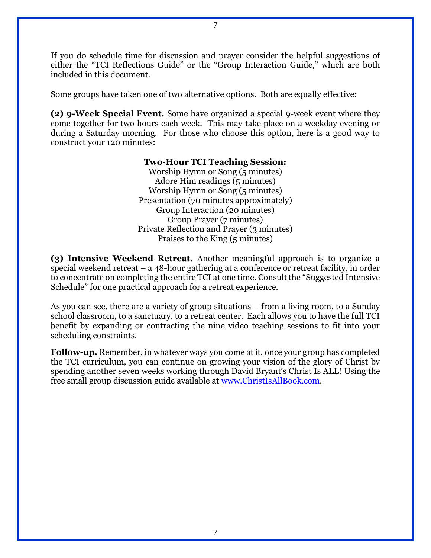If you do schedule time for discussion and prayer consider the helpful suggestions of either the "TCI Reflections Guide" or the "Group Interaction Guide," which are both included in this document.

Some groups have taken one of two alternative options. Both are equally effective:

**(2) 9-Week Special Event.** Some have organized a special 9-week event where they come together for two hours each week. This may take place on a weekday evening or during a Saturday morning. For those who choose this option, here is a good way to construct your 120 minutes:

#### **Two-Hour TCI Teaching Session:**

Worship Hymn or Song (5 minutes) Adore Him readings (5 minutes) Worship Hymn or Song (5 minutes) Presentation (70 minutes approximately) Group Interaction (20 minutes) Group Prayer (7 minutes) Private Reflection and Prayer (3 minutes) Praises to the King (5 minutes)

**(3) Intensive Weekend Retreat.** Another meaningful approach is to organize a special weekend retreat – a 48-hour gathering at a conference or retreat facility, in order to concentrate on completing the entire TCI at one time. Consult the "Suggested Intensive Schedule" for one practical approach for a retreat experience.

As you can see, there are a variety of group situations – from a living room, to a Sunday school classroom, to a sanctuary, to a retreat center. Each allows you to have the full TCI benefit by expanding or contracting the nine video teaching sessions to fit into your scheduling constraints.

**Follow-up.** Remember, in whatever ways you come at it, once your group has completed the TCI curriculum, you can continue on growing your vision of the glory of Christ by spending another seven weeks working through David Bryant's Christ Is ALL! Using the free small group discussion guide available at [www.ChristIsAllBook.com.](http://www.christisallbook.com/)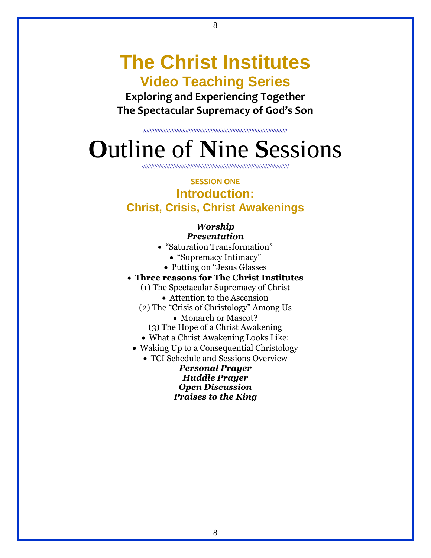# **The Christ Institutes Video Teaching Series**

8

**Exploring and Experiencing Together The Spectacular Supremacy of God's Son**

**////////////////////////////////////////////////////////////////////////////////////////////**

# **O**utline of **N**ine **S**essions

//////////////////////////////////////////////////////////////////////////////////////////////

### **SESSION ONE Introduction: Christ, Crisis, Christ Awakenings**

#### *Worship Presentation*

- "Saturation Transformation"
	- "Supremacy Intimacy"
	- Putting on "Jesus Glasses
- **Three reasons for The Christ Institutes**
	- (1) The Spectacular Supremacy of Christ
		- Attention to the Ascension
	- (2) The "Crisis of Christology" Among Us
		- Monarch or Mascot?
		- (3) The Hope of a Christ Awakening
	- What a Christ Awakening Looks Like:
	- Waking Up to a Consequential Christology

 TCI Schedule and Sessions Overview *Personal Prayer Huddle Prayer Open Discussion*

*Praises to the King*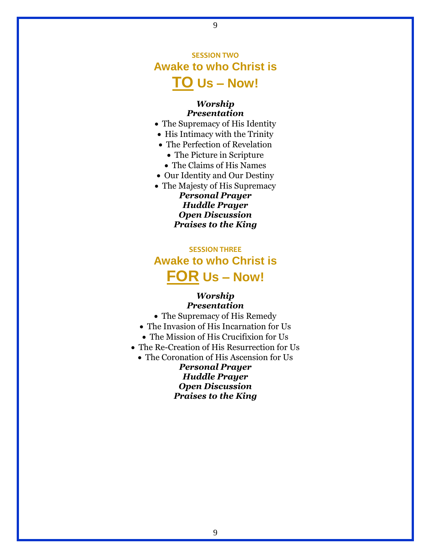## **SESSION TWO Awake to who Christ is TO Us – Now!**

9

#### *Worship Presentation*

- The Supremacy of His Identity
- His Intimacy with the Trinity
- The Perfection of Revelation
	- The Picture in Scripture
	- The Claims of His Names
- Our Identity and Our Destiny
- The Majesty of His Supremacy

*Personal Prayer Huddle Prayer Open Discussion Praises to the King*

### **SESSION THREE Awake to who Christ is FOR Us – Now!**

#### *Worship Presentation*

 The Supremacy of His Remedy • The Invasion of His Incarnation for Us • The Mission of His Crucifixion for Us The Re-Creation of His Resurrection for Us • The Coronation of His Ascension for Us *Personal Prayer Huddle Prayer Open Discussion Praises to the King*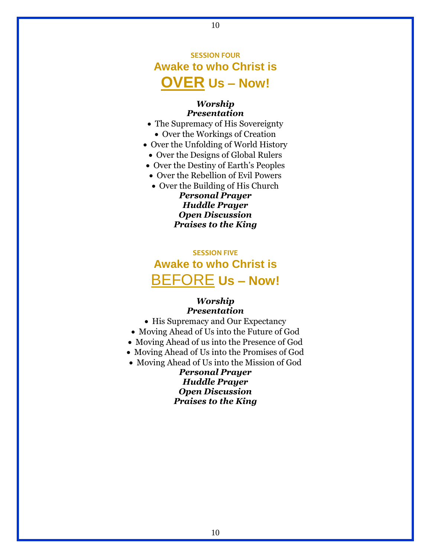## **SESSION FOUR Awake to who Christ is OVER Us – Now!**

10

#### *Worship Presentation*

- The Supremacy of His Sovereignty
	- Over the Workings of Creation
- Over the Unfolding of World History
- Over the Designs of Global Rulers
- Over the Destiny of Earth's Peoples
- Over the Rebellion of Evil Powers
- Over the Building of His Church

*Personal Prayer Huddle Prayer Open Discussion Praises to the King*

### **SESSION FIVE Awake to who Christ is** BEFORE **Us – Now!**

#### *Worship Presentation*

- His Supremacy and Our Expectancy
- Moving Ahead of Us into the Future of God
- Moving Ahead of us into the Presence of God
- Moving Ahead of Us into the Promises of God
- Moving Ahead of Us into the Mission of God

*Personal Prayer Huddle Prayer Open Discussion Praises to the King*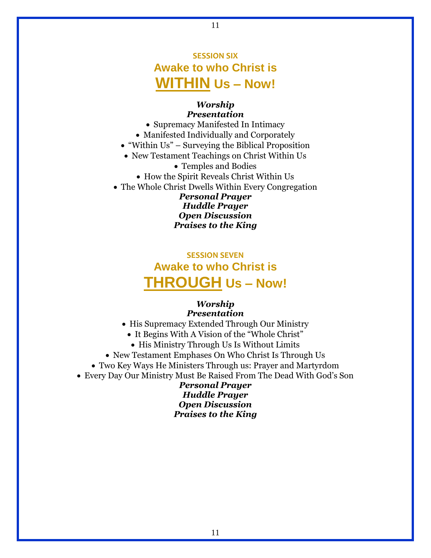## **SESSION SIX Awake to who Christ is WITHIN Us – Now!**

11

#### *Worship Presentation*

• Supremacy Manifested In Intimacy Manifested Individually and Corporately "Within Us" – Surveying the Biblical Proposition New Testament Teachings on Christ Within Us Temples and Bodies How the Spirit Reveals Christ Within Us • The Whole Christ Dwells Within Every Congregation *Personal Prayer Huddle Prayer Open Discussion*

*Praises to the King*

## **SESSION SEVEN Awake to who Christ is THROUGH Us – Now!**

#### *Worship Presentation*

- His Supremacy Extended Through Our Ministry
	- It Begins With A Vision of the "Whole Christ"
	- His Ministry Through Us Is Without Limits
- New Testament Emphases On Who Christ Is Through Us
- Two Key Ways He Ministers Through us: Prayer and Martyrdom
- Every Day Our Ministry Must Be Raised From The Dead With God's Son

*Personal Prayer Huddle Prayer Open Discussion Praises to the King*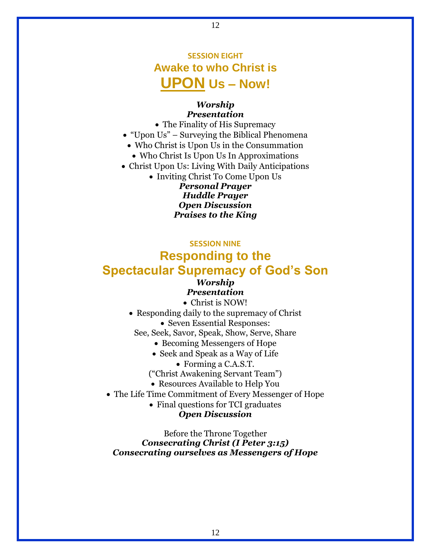## **SESSION EIGHT Awake to who Christ is UPON Us – Now!**

12

#### *Worship Presentation*

- The Finality of His Supremacy
- "Upon Us" Surveying the Biblical Phenomena
	- Who Christ is Upon Us in the Consummation
	- Who Christ Is Upon Us In Approximations
- Christ Upon Us: Living With Daily Anticipations

• Inviting Christ To Come Upon Us *Personal Prayer Huddle Prayer Open Discussion Praises to the King*

#### **SESSION NINE**

## **Responding to the Spectacular Supremacy of God's Son**

### *Worship*

#### *Presentation*

Christ is NOW!

• Responding daily to the supremacy of Christ • Seven Essential Responses:

See, Seek, Savor, Speak, Show, Serve, Share

- Becoming Messengers of Hope
- Seek and Speak as a Way of Life
	- Forming a C.A.S.T.

("Christ Awakening Servant Team")

Resources Available to Help You

The Life Time Commitment of Every Messenger of Hope

• Final questions for TCI graduates

#### *Open Discussion*

Before the Throne Together *Consecrating Christ (I Peter 3:15) Consecrating ourselves as Messengers of Hope*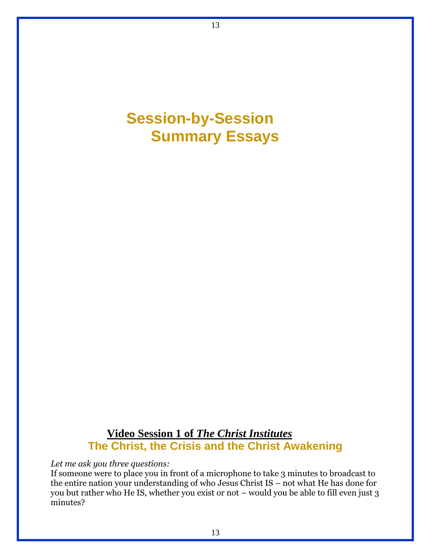

13

### **Video Session 1 of** *The Christ Institutes* **The Christ, the Crisis and the Christ Awakening**

*Let me ask you three questions:*

If someone were to place you in front of a microphone to take 3 minutes to broadcast to the entire nation your understanding of who Jesus Christ IS – not what He has done for you but rather who He IS, whether you exist or not – would you be able to fill even just 3 minutes?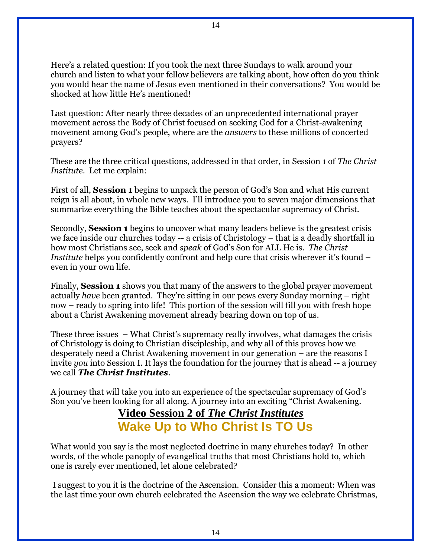Here's a related question: If you took the next three Sundays to walk around your church and listen to what your fellow believers are talking about, how often do you think you would hear the name of Jesus even mentioned in their conversations? You would be shocked at how little He's mentioned!

Last question: After nearly three decades of an unprecedented international prayer movement across the Body of Christ focused on seeking God for a Christ-awakening movement among God's people, where are the *answers* to these millions of concerted prayers?

These are the three critical questions, addressed in that order, in Session 1 of *The Christ Institute*. Let me explain:

First of all, **Session 1** begins to unpack the person of God's Son and what His current reign is all about, in whole new ways. I'll introduce you to seven major dimensions that summarize everything the Bible teaches about the spectacular supremacy of Christ.

Secondly, **Session 1** begins to uncover what many leaders believe is the greatest crisis we face inside our churches today -- a crisis of Christology – that is a deadly shortfall in how most Christians see, seek and *speak* of God's Son for ALL He is. *The Christ Institute* helps you confidently confront and help cure that crisis wherever it's found – even in your own life.

Finally, **Session 1** shows you that many of the answers to the global prayer movement actually *have* been granted. They're sitting in our pews every Sunday morning – right now – ready to spring into life! This portion of the session will fill you with fresh hope about a Christ Awakening movement already bearing down on top of us.

These three issues – What Christ's supremacy really involves, what damages the crisis of Christology is doing to Christian discipleship, and why all of this proves how we desperately need a Christ Awakening movement in our generation – are the reasons I invite *you* into Session I. It lays the foundation for the journey that is ahead -- a journey we call *The Christ Institutes*.

A journey that will take you into an experience of the spectacular supremacy of God's Son you've been looking for all along. A journey into an exciting "Christ Awakening.

## **Video Session 2 of** *The Christ Institutes* **Wake Up to Who Christ Is TO Us**

What would you say is the most neglected doctrine in many churches today? In other words, of the whole panoply of evangelical truths that most Christians hold to, which one is rarely ever mentioned, let alone celebrated?

I suggest to you it is the doctrine of the Ascension. Consider this a moment: When was the last time your own church celebrated the Ascension the way we celebrate Christmas,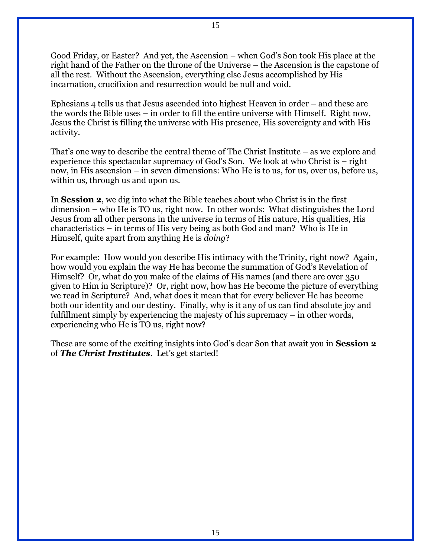Good Friday, or Easter? And yet, the Ascension – when God's Son took His place at the right hand of the Father on the throne of the Universe – the Ascension is the capstone of all the rest. Without the Ascension, everything else Jesus accomplished by His incarnation, crucifixion and resurrection would be null and void.

Ephesians 4 tells us that Jesus ascended into highest Heaven in order – and these are the words the Bible uses – in order to fill the entire universe with Himself. Right now, Jesus the Christ is filling the universe with His presence, His sovereignty and with His activity.

That's one way to describe the central theme of The Christ Institute – as we explore and experience this spectacular supremacy of God's Son. We look at who Christ is – right now, in His ascension – in seven dimensions: Who He is to us, for us, over us, before us, within us, through us and upon us.

In **Session 2**, we dig into what the Bible teaches about who Christ is in the first dimension – who He is TO us, right now. In other words: What distinguishes the Lord Jesus from all other persons in the universe in terms of His nature, His qualities, His characteristics – in terms of His very being as both God and man? Who is He in Himself, quite apart from anything He is *doing*?

For example: How would you describe His intimacy with the Trinity, right now? Again, how would you explain the way He has become the summation of God's Revelation of Himself? Or, what do you make of the claims of His names (and there are over 350 given to Him in Scripture)? Or, right now, how has He become the picture of everything we read in Scripture? And, what does it mean that for every believer He has become both our identity and our destiny. Finally, why is it any of us can find absolute joy and fulfillment simply by experiencing the majesty of his supremacy – in other words, experiencing who He is TO us, right now?

These are some of the exciting insights into God's dear Son that await you in **Session 2** of *The Christ Institutes*. Let's get started!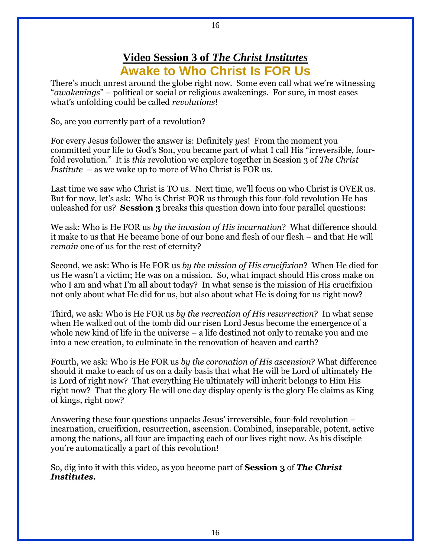### **Video Session 3 of** *The Christ Institutes* **Awake to Who Christ Is FOR Us**

There's much unrest around the globe right now. Some even call what we're witnessing "*awakenings*" – political or social or religious awakenings. For sure, in most cases what's unfolding could be called *revolutions*!

So, are you currently part of a revolution?

For every Jesus follower the answer is: Definitely *yes*! From the moment you committed your life to God's Son, you became part of what I call His "irreversible, fourfold revolution." It is *this* revolution we explore together in Session 3 of *The Christ Institute* – as we wake up to more of Who Christ is FOR us.

Last time we saw who Christ is TO us. Next time, we'll focus on who Christ is OVER us. But for now, let's ask: Who is Christ FOR us through this four-fold revolution He has unleashed for us? **Session 3** breaks this question down into four parallel questions:

We ask: Who is He FOR us *by the invasion of His incarnation*? What difference should it make to us that He became bone of our bone and flesh of our flesh – and that He will *remain* one of us for the rest of eternity?

Second, we ask: Who is He FOR us *by the mission of His crucifixion*? When He died for us He wasn't a victim; He was on a mission. So, what impact should His cross make on who I am and what I'm all about today? In what sense is the mission of His crucifixion not only about what He did for us, but also about what He is doing for us right now?

Third, we ask: Who is He FOR us *by the recreation of His resurrection*? In what sense when He walked out of the tomb did our risen Lord Jesus become the emergence of a whole new kind of life in the universe – a life destined not only to remake you and me into a new creation, to culminate in the renovation of heaven and earth?

Fourth, we ask: Who is He FOR us *by the coronation of His ascension*? What difference should it make to each of us on a daily basis that what He will be Lord of ultimately He is Lord of right now? That everything He ultimately will inherit belongs to Him His right now? That the glory He will one day display openly is the glory He claims as King of kings, right now?

Answering these four questions unpacks Jesus' irreversible, four-fold revolution – incarnation, crucifixion, resurrection, ascension. Combined, inseparable, potent, active among the nations, all four are impacting each of our lives right now. As his disciple you're automatically a part of this revolution!

So, dig into it with this video, as you become part of **Session 3** of *The Christ Institutes.*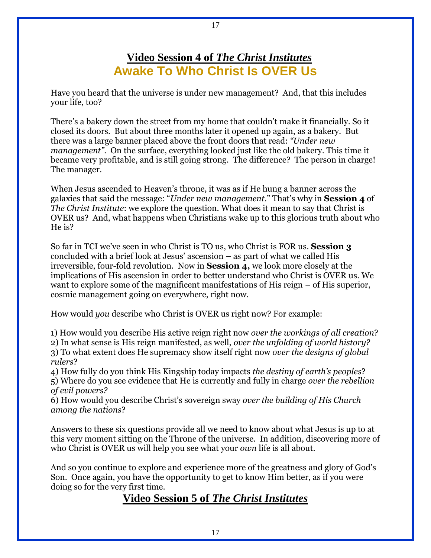### **Video Session 4 of** *The Christ Institutes* **Awake To Who Christ Is OVER Us**

Have you heard that the universe is under new management? And, that this includes your life, too?

There's a bakery down the street from my home that couldn't make it financially. So it closed its doors. But about three months later it opened up again, as a bakery. But there was a large banner placed above the front doors that read: *"Under new management"*. On the surface, everything looked just like the old bakery. This time it became very profitable, and is still going strong. The difference? The person in charge! The manager.

When Jesus ascended to Heaven's throne, it was as if He hung a banner across the galaxies that said the message: "*Under new management*." That's why in **Session 4** of *The Christ Institute*: we explore the question. What does it mean to say that Christ is OVER us? And, what happens when Christians wake up to this glorious truth about who He is?

So far in TCI we've seen in who Christ is TO us, who Christ is FOR us. **Session 3** concluded with a brief look at Jesus' ascension – as part of what we called His irreversible, four-fold revolution. Now in **Session 4,** we look more closely at the implications of His ascension in order to better understand who Christ is OVER us. We want to explore some of the magnificent manifestations of His reign – of His superior, cosmic management going on everywhere, right now.

How would *you* describe who Christ is OVER us right now? For example:

1) How would you describe His active reign right now *over the workings of all creation*? 2) In what sense is His reign manifested, as well, *over the unfolding of world history?* 3) To what extent does He supremacy show itself right now *over the designs of global rulers*?

4) How fully do you think His Kingship today impacts *the destiny of earth's peoples*? 5) Where do you see evidence that He is currently and fully in charge *over the rebellion of evil powers?*

6) How would you describe Christ's sovereign sway *over the building of His Church among the nations*?

Answers to these six questions provide all we need to know about what Jesus is up to at this very moment sitting on the Throne of the universe. In addition, discovering more of who Christ is OVER us will help you see what your *own* life is all about.

And so you continue to explore and experience more of the greatness and glory of God's Son. Once again, you have the opportunity to get to know Him better, as if you were doing so for the very first time.

### **Video Session 5 of** *The Christ Institutes*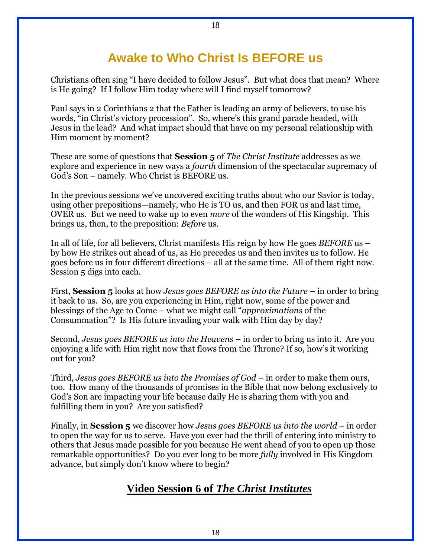## **Awake to Who Christ Is BEFORE us**

Christians often sing "I have decided to follow Jesus". But what does that mean? Where is He going? If I follow Him today where will I find myself tomorrow?

Paul says in 2 Corinthians 2 that the Father is leading an army of believers, to use his words, "in Christ's victory procession". So, where's this grand parade headed, with Jesus in the lead? And what impact should that have on my personal relationship with Him moment by moment?

These are some of questions that **Session 5** of *The Christ Institute* addresses as we explore and experience in new ways a *fourth* dimension of the spectacular supremacy of God's Son – namely. Who Christ is BEFORE us.

In the previous sessions we've uncovered exciting truths about who our Savior is today, using other prepositions—namely, who He is TO us, and then FOR us and last time, OVER us. But we need to wake up to even *more* of the wonders of His Kingship. This brings us, then, to the preposition: *Before* us.

In all of life, for all believers, Christ manifests His reign by how He goes *BEFORE* us – by how He strikes out ahead of us, as He precedes us and then invites us to follow. He goes before us in four different directions – all at the same time. All of them right now. Session 5 digs into each.

First, **Session 5** looks at how *Jesus goes BEFORE us into the Future* – in order to bring it back to us. So, are you experiencing in Him, right now, some of the power and blessings of the Age to Come – what we might call "*approximations* of the Consummation"? Is His future invading your walk with Him day by day?

Second, *Jesus goes BEFORE us into the Heavens* – in order to bring us into it. Are you enjoying a life with Him right now that flows from the Throne? If so, how's it working out for you?

Third, *Jesus goes BEFORE us into the Promises of God* – in order to make them ours, too. How many of the thousands of promises in the Bible that now belong exclusively to God's Son are impacting your life because daily He is sharing them with you and fulfilling them in you? Are you satisfied?

Finally, in **Session 5** we discover how *Jesus goes BEFORE us into the world* – in order to open the way for us to serve. Have you ever had the thrill of entering into ministry to others that Jesus made possible for you because He went ahead of you to open up those remarkable opportunities? Do you ever long to be more *fully* involved in His Kingdom advance, but simply don't know where to begin?

### **Video Session 6 of** *The Christ Institutes*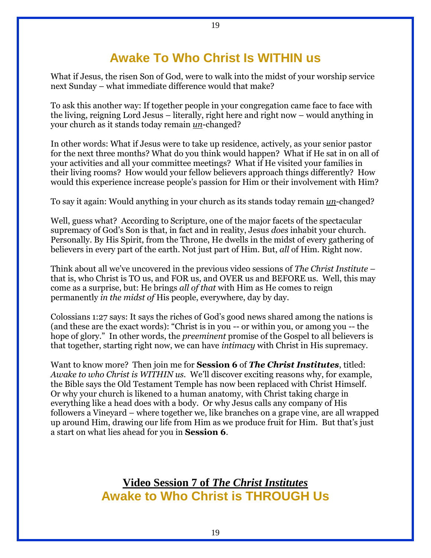## **Awake To Who Christ Is WITHIN us**

19

What if Jesus, the risen Son of God, were to walk into the midst of your worship service next Sunday – what immediate difference would that make?

To ask this another way: If together people in your congregation came face to face with the living, reigning Lord Jesus – literally, right here and right now – would anything in your church as it stands today remain *un*-changed?

In other words: What if Jesus were to take up residence, actively, as your senior pastor for the next three months? What do you think would happen? What if He sat in on all of your activities and all your committee meetings? What if He visited your families in their living rooms? How would your fellow believers approach things differently? How would this experience increase people's passion for Him or their involvement with Him?

To say it again: Would anything in your church as its stands today remain *un*-changed?

Well, guess what? According to Scripture, one of the major facets of the spectacular supremacy of God's Son is that, in fact and in reality, Jesus *does* inhabit your church. Personally. By His Spirit, from the Throne, He dwells in the midst of every gathering of believers in every part of the earth. Not just part of Him. But, *all* of Him. Right now.

Think about all we've uncovered in the previous video sessions of *The Christ Institute* – that is, who Christ is TO us, and FOR us, and OVER us and BEFORE us. Well, this may come as a surprise, but: He brings *all of that* with Him as He comes to reign permanently *in the midst of* His people, everywhere, day by day.

Colossians 1:27 says: It says the riches of God's good news shared among the nations is (and these are the exact words): "Christ is in you -- or within you, or among you -- the hope of glory." In other words, the *preeminent* promise of the Gospel to all believers is that together, starting right now, we can have *intimacy* with Christ in His supremacy.

Want to know more? Then join me for **Session 6** of *The Christ Institutes*, titled: *Awake to who Christ is WITHIN us.* We'll discover exciting reasons why, for example, the Bible says the Old Testament Temple has now been replaced with Christ Himself. Or why your church is likened to a human anatomy, with Christ taking charge in everything like a head does with a body. Or why Jesus calls any company of His followers a Vineyard – where together we, like branches on a grape vine, are all wrapped up around Him, drawing our life from Him as we produce fruit for Him. But that's just a start on what lies ahead for you in **Session 6**.

> **Video Session 7 of** *The Christ Institutes* **Awake to Who Christ is THROUGH Us**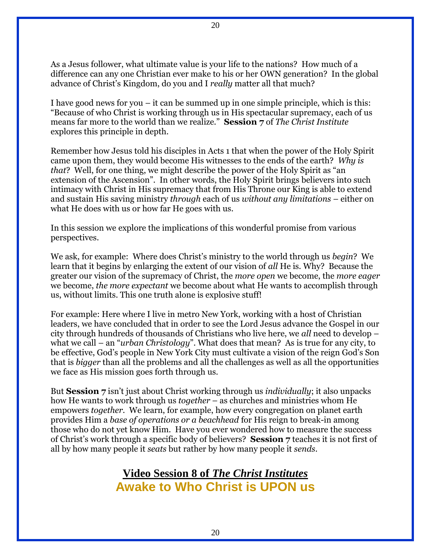As a Jesus follower, what ultimate value is your life to the nations? How much of a difference can any one Christian ever make to his or her OWN generation? In the global advance of Christ's Kingdom, do you and I *really* matter all that much?

I have good news for you – it can be summed up in one simple principle, which is this: "Because of who Christ is working through us in His spectacular supremacy, each of us means far more to the world than we realize." **Session 7** of *The Christ Institute* explores this principle in depth.

Remember how Jesus told his disciples in Acts 1 that when the power of the Holy Spirit came upon them, they would become His witnesses to the ends of the earth? *Why is that*? Well, for one thing, we might describe the power of the Holy Spirit as "an extension of the Ascension". In other words, the Holy Spirit brings believers into such intimacy with Christ in His supremacy that from His Throne our King is able to extend and sustain His saving ministry *through* each of us *without any limitations* – either on what He does with us or how far He goes with us.

In this session we explore the implications of this wonderful promise from various perspectives.

We ask, for example: Where does Christ's ministry to the world through us *begin*? We learn that it begins by enlarging the extent of our vision of *all* He is. Why? Because the greater our vision of the supremacy of Christ, the *more open* we become, the *more eager* we become, *the more expectant* we become about what He wants to accomplish through us, without limits. This one truth alone is explosive stuff!

For example: Here where I live in metro New York, working with a host of Christian leaders, we have concluded that in order to see the Lord Jesus advance the Gospel in our city through hundreds of thousands of Christians who live here, we *all* need to develop – what we call – an "*urban Christology*". What does that mean? As is true for any city, to be effective, God's people in New York City must cultivate a vision of the reign God's Son that is *bigger* than all the problems and all the challenges as well as all the opportunities we face as His mission goes forth through us.

But **Session 7** isn't just about Christ working through us *individually*; it also unpacks how He wants to work through us *together* – as churches and ministries whom He empowers *together*. We learn, for example, how every congregation on planet earth provides Him a *base of operations or a beachhead* for His reign to break-in among those who do not yet know Him. Have you ever wondered how to measure the success of Christ's work through a specific body of believers? **Session 7** teaches it is not first of all by how many people it *seats* but rather by how many people it *sends*.

> **Video Session 8 of** *The Christ Institutes* **Awake to Who Christ is UPON us**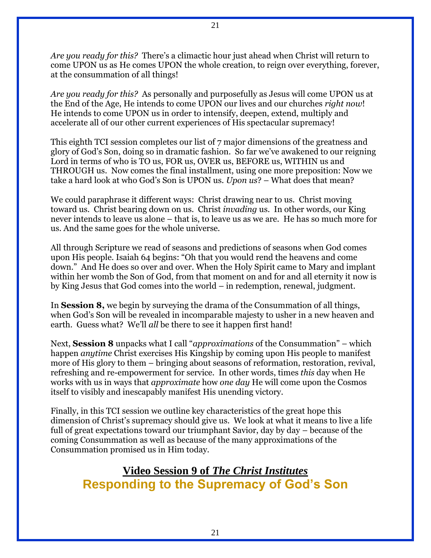*Are you ready for this?* There's a climactic hour just ahead when Christ will return to come UPON us as He comes UPON the whole creation, to reign over everything, forever, at the consummation of all things!

*Are you ready for this?* As personally and purposefully as Jesus will come UPON us at the End of the Age, He intends to come UPON our lives and our churches *right now*! He intends to come UPON us in order to intensify, deepen, extend, multiply and accelerate all of our other current experiences of His spectacular supremacy!

This eighth TCI session completes our list of 7 major dimensions of the greatness and glory of God's Son, doing so in dramatic fashion. So far we've awakened to our reigning Lord in terms of who is TO us, FOR us, OVER us, BEFORE us, WITHIN us and THROUGH us. Now comes the final installment, using one more preposition: Now we take a hard look at who God's Son is UPON us. *Upon us*? – What does that mean?

We could paraphrase it different ways: Christ drawing near to us. Christ moving toward us. Christ bearing down on us. Christ *invading* us. In other words, our King never intends to leave us alone – that is, to leave us as we are. He has so much more for us. And the same goes for the whole universe.

All through Scripture we read of seasons and predictions of seasons when God comes upon His people. Isaiah 64 begins: "Oh that you would rend the heavens and come down." And He does so over and over. When the Holy Spirit came to Mary and implant within her womb the Son of God, from that moment on and for and all eternity it now is by King Jesus that God comes into the world – in redemption, renewal, judgment.

In **Session 8,** we begin by surveying the drama of the Consummation of all things, when God's Son will be revealed in incomparable majesty to usher in a new heaven and earth. Guess what? We'll *all* be there to see it happen first hand!

Next, **Session 8** unpacks what I call "*approximations* of the Consummation" – which happen *anytime* Christ exercises His Kingship by coming upon His people to manifest more of His glory to them – bringing about seasons of reformation, restoration, revival, refreshing and re-empowerment for service. In other words, times *this* day when He works with us in ways that *approximate* how *one day* He will come upon the Cosmos itself to visibly and inescapably manifest His unending victory.

Finally, in this TCI session we outline key characteristics of the great hope this dimension of Christ's supremacy should give us. We look at what it means to live a life full of great expectations toward our triumphant Savior, day by day – because of the coming Consummation as well as because of the many approximations of the Consummation promised us in Him today.

**Video Session 9 of** *The Christ Institutes* **Responding to the Supremacy of God's Son**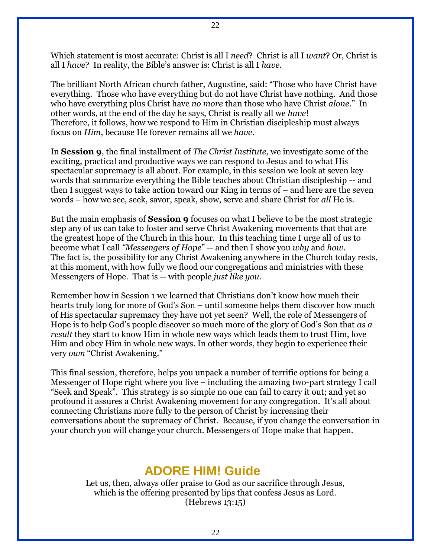Which statement is most accurate: Christ is all I *need*? Christ is all I *want*? Or, Christ is all I *have*? In reality, the Bible's answer is: Christ is all I *have*.

The brilliant North African church father, Augustine, said: "Those who have Christ have everything. Those who have everything but do not have Christ have nothing. And those who have everything plus Christ have *no more* than those who have Christ *alone*." In other words, at the end of the day he says, Christ is really all we *have*! Therefore, it follows, how we respond to Him in Christian discipleship must always focus on *Him*, because He forever remains all we *have*.

In **Session 9**, the final installment of *The Christ Institute*, we investigate some of the exciting, practical and productive ways we can respond to Jesus and to what His spectacular supremacy is all about. For example, in this session we look at seven key words that summarize everything the Bible teaches about Christian discipleship -- and then I suggest ways to take action toward our King in terms of – and here are the seven words – how we see, seek, savor, speak, show, serve and share Christ for *all* He is.

But the main emphasis of **Session 9** focuses on what I believe to be the most strategic step any of us can take to foster and serve Christ Awakening movements that that are the greatest hope of the Church in this hour. In this teaching time I urge all of us to become what I call *"Messengers of Hope*" -- and then I show you *why* and *how*. The fact is, the possibility for any Christ Awakening anywhere in the Church today rests, at this moment, with how fully we flood our congregations and ministries with these Messengers of Hope. That is -- with people *just like you.*

Remember how in Session 1 we learned that Christians don't know how much their hearts truly long for more of God's Son – until someone helps them discover how much of His spectacular supremacy they have not yet seen? Well, the role of Messengers of Hope is to help God's people discover so much more of the glory of God's Son that *as a result* they start to know Him in whole new ways which leads them to trust Him, love Him and obey Him in whole new ways. In other words, they begin to experience their very *own* "Christ Awakening."

This final session, therefore, helps you unpack a number of terrific options for being a Messenger of Hope right where you live – including the amazing two-part strategy I call "Seek and Speak". This strategy is so simple no one can fail to carry it out; and yet so profound it assures a Christ Awakening movement for any congregation. It's all about connecting Christians more fully to the person of Christ by increasing their conversations about the supremacy of Christ. Because, if you change the conversation in your church you will change your church. Messengers of Hope make that happen.

### **ADORE HIM! Guide**

Let us, then, always offer praise to God as our sacrifice through Jesus, which is the offering presented by lips that confess Jesus as Lord. (Hebrews 13:15)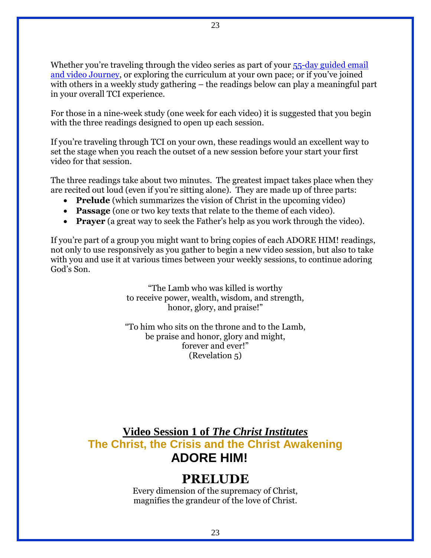Whether you're traveling through the video series as part of your 55-day guided email [and video Journey](http://www.christnow.com/my-christ-awakening-journey/), or exploring the curriculum at your own pace; or if you've joined with others in a weekly study gathering – the readings below can play a meaningful part in your overall TCI experience.

For those in a nine-week study (one week for each video) it is suggested that you begin with the three readings designed to open up each session.

If you're traveling through TCI on your own, these readings would an excellent way to set the stage when you reach the outset of a new session before your start your first video for that session.

The three readings take about two minutes. The greatest impact takes place when they are recited out loud (even if you're sitting alone). They are made up of three parts:

- **Prelude** (which summarizes the vision of Christ in the upcoming video)
- **Passage** (one or two key texts that relate to the theme of each video).
- **Prayer** (a great way to seek the Father's help as you work through the video).

If you're part of a group you might want to bring copies of each ADORE HIM! readings, not only to use responsively as you gather to begin a new video session, but also to take with you and use it at various times between your weekly sessions, to continue adoring God's Son.

> "The Lamb who was killed is worthy to receive power, wealth, wisdom, and strength, honor, glory, and praise!"

> "To him who sits on the throne and to the Lamb, be praise and honor, glory and might, forever and ever!" (Revelation 5)

### **Video Session 1 of** *The Christ Institutes* **The Christ, the Crisis and the Christ Awakening ADORE HIM!**

## **PRELUDE**

Every dimension of the supremacy of Christ, magnifies the grandeur of the love of Christ.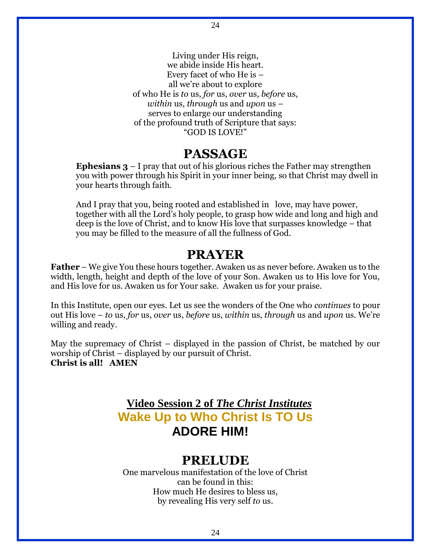Living under His reign, we abide inside His heart. Every facet of who He is – all we're about to explore of who He is *to* us, *for* us, *over* us, *before* us, *within* us, *through* us and *upon* us – serves to enlarge our understanding of the profound truth of Scripture that says: "GOD IS LOVE!"

24

### **PASSAGE**

**Ephesians 3** – I pray that out of his glorious riches the Father may strengthen you with power through his Spirit in your inner being, so that Christ may dwell in your hearts through faith.

And I pray that you, being rooted and established in love, may have power, together with all the Lord's holy people, to grasp how wide and long and high and deep is the love of Christ, and to know His love that surpasses knowledge – that you may be filled to the measure of all the fullness of God.

### **PRAYER**

**Father** – We give You these hours together. Awaken us as never before. Awaken us to the width, length, height and depth of the love of your Son. Awaken us to His love for You, and His love for us. Awaken us for Your sake. Awaken us for your praise.

In this Institute, open our eyes. Let us see the wonders of the One who *continues* to pour out His love – *to* us, *for* us, *over* us, *before* us, *within* us, *through* us and *upon* us. We're willing and ready.

May the supremacy of Christ – displayed in the passion of Christ, be matched by our worship of Christ – displayed by our pursuit of Christ. **Christ is all! AMEN**

## **Video Session 2 of** *The Christ Institutes* **Wake Up to Who Christ Is TO Us ADORE HIM!**

### **PRELUDE**

One marvelous manifestation of the love of Christ can be found in this: How much He desires to bless us, by revealing His very self *to* us.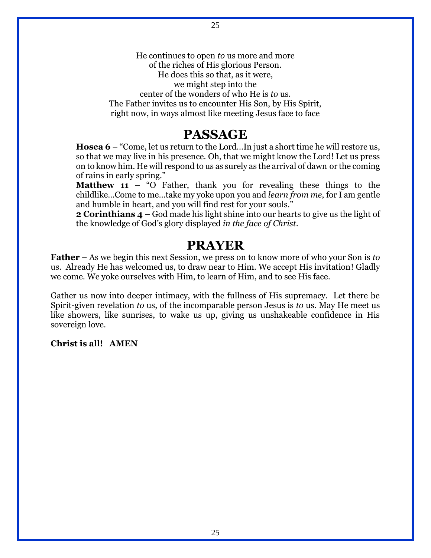He continues to open *to* us more and more of the riches of His glorious Person. He does this so that, as it were, we might step into the center of the wonders of who He is *to* us. The Father invites us to encounter His Son, by His Spirit, right now, in ways almost like meeting Jesus face to face

### **PASSAGE**

**Hosea 6** – "Come, let us return to the Lord…In just a short time he will restore us, so that we may live in his presence. Oh, that we might know the Lord! Let us press on to know him. He will respond to us as surely as the arrival of dawn or the coming of rains in early spring."

**Matthew 11** – "O Father, thank you for revealing these things to the childlike…Come to me…take my yoke upon you and *learn from me*, for I am gentle and humble in heart, and you will find rest for your souls."

**2 Corinthians 4** – God made his light shine into our hearts to give us the light of the knowledge of God's glory displayed *in the face of Christ*.

### **PRAYER**

**Father** – As we begin this next Session, we press on to know more of who your Son is *to* us. Already He has welcomed us, to draw near to Him. We accept His invitation! Gladly we come. We yoke ourselves with Him, to learn of Him, and to see His face.

Gather us now into deeper intimacy, with the fullness of His supremacy. Let there be Spirit-given revelation *to* us, of the incomparable person Jesus is *to* us. May He meet us like showers, like sunrises, to wake us up, giving us unshakeable confidence in His sovereign love.

#### **Christ is all! AMEN**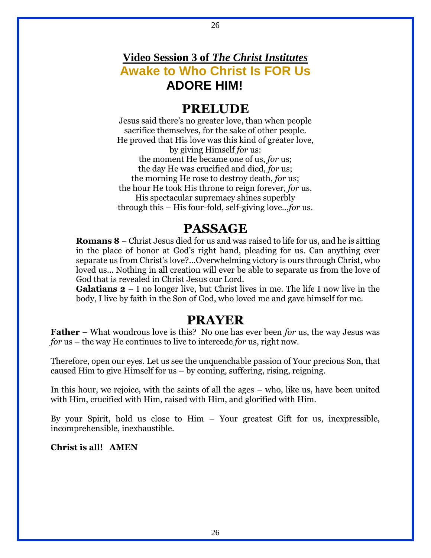## **Video Session 3 of** *The Christ Institutes* **Awake to Who Christ Is FOR Us ADORE HIM!**

### **PRELUDE**

Jesus said there's no greater love, than when people sacrifice themselves, for the sake of other people. He proved that His love was this kind of greater love, by giving Himself *for* us: the moment He became one of us, *for* us; the day He was crucified and died, *for* us; the morning He rose to destroy death, *for* us; the hour He took His throne to reign forever, *for* us. His spectacular supremacy shines superbly through this – His four-fold, self-giving love…*for* us.

## **PASSAGE**

**Romans 8** – Christ Jesus died for us and was raised to life for us, and he is sitting in the place of honor at God's right hand, pleading for us. Can anything ever separate us from Christ's love?...Overwhelming victory is ours through Christ, who loved us... Nothing in all creation will ever be able to separate us from the love of God that is revealed in Christ Jesus our Lord.

**Galatians 2** – I no longer live, but Christ lives in me. The life I now live in the body, I live by faith in the Son of God, who loved me and gave himself for me.

## **PRAYER**

**Father** – What wondrous love is this? No one has ever been *for* us, the way Jesus was *for* us – the way He continues to live to intercede *for* us, right now.

Therefore, open our eyes. Let us see the unquenchable passion of Your precious Son, that caused Him to give Himself for us – by coming, suffering, rising, reigning.

In this hour, we rejoice, with the saints of all the ages – who, like us, have been united with Him, crucified with Him, raised with Him, and glorified with Him.

By your Spirit, hold us close to Him – Your greatest Gift for us, inexpressible, incomprehensible, inexhaustible.

**Christ is all! AMEN**

26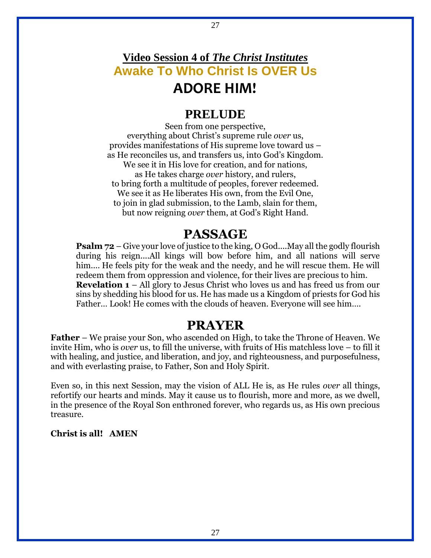## **Video Session 4 of** *The Christ Institutes* **Awake To Who Christ Is OVER Us ADORE HIM!**

### **PRELUDE**

Seen from one perspective, everything about Christ's supreme rule *over* us, provides manifestations of His supreme love toward us – as He reconciles us, and transfers us, into God's Kingdom. We see it in His love for creation, and for nations, as He takes charge *over* history, and rulers, to bring forth a multitude of peoples, forever redeemed. We see it as He liberates His own, from the Evil One, to join in glad submission, to the Lamb, slain for them, but now reigning *over* them, at God's Right Hand.

### **PASSAGE**

**Psalm 72** – Give your love of justice to the king, O God....May all the godly flourish during his reign....All kings will bow before him, and all nations will serve him.... He feels pity for the weak and the needy, and he will rescue them. He will redeem them from oppression and violence, for their lives are precious to him. **Revelation 1** – All glory to Jesus Christ who loves us and has freed us from our sins by shedding his blood for us. He has made us a Kingdom of priests for God his Father… Look! He comes with the clouds of heaven. Everyone will see him….

### **PRAYER**

**Father** – We praise your Son, who ascended on High, to take the Throne of Heaven. We invite Him, who is *over* us, to fill the universe, with fruits of His matchless love – to fill it with healing, and justice, and liberation, and joy, and righteousness, and purposefulness, and with everlasting praise, to Father, Son and Holy Spirit.

Even so, in this next Session, may the vision of ALL He is, as He rules *over* all things, refortify our hearts and minds. May it cause us to flourish, more and more, as we dwell, in the presence of the Royal Son enthroned forever, who regards us, as His own precious treasure.

#### **Christ is all! AMEN**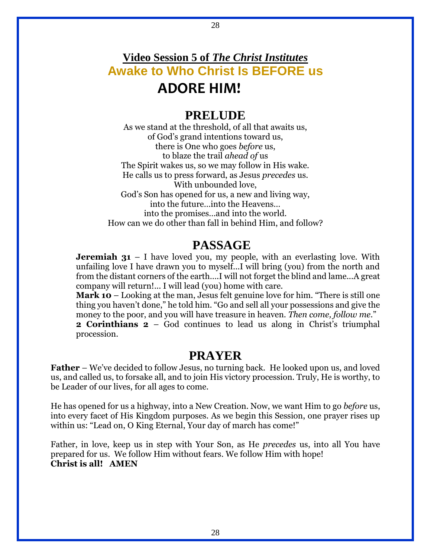## **Video Session 5 of** *The Christ Institutes* **Awake to Who Christ Is BEFORE us ADORE HIM!**

### **PRELUDE**

As we stand at the threshold, of all that awaits us, of God's grand intentions toward us, there is One who goes *before* us, to blaze the trail *ahead of* us The Spirit wakes us, so we may follow in His wake. He calls us to press forward, as Jesus *precedes* us. With unbounded love, God's Son has opened for us, a new and living way, into the future…into the Heavens… into the promises…and into the world. How can we do other than fall in behind Him, and follow?

### **PASSAGE**

**Jeremiah 31** – I have loved you, my people, with an everlasting love. With unfailing love I have drawn you to myself...I will bring (you) from the north and from the distant corners of the earth….I will not forget the blind and lame...A great company will return!... I will lead (you) home with care.

**Mark 10** – Looking at the man, Jesus felt genuine love for him. "There is still one thing you haven't done," he told him. "Go and sell all your possessions and give the money to the poor, and you will have treasure in heaven. *Then come, follow me*." **2 Corinthians 2** – God continues to lead us along in Christ's triumphal

procession.

### **PRAYER**

**Father** – We've decided to follow Jesus, no turning back. He looked upon us, and loved us, and called us, to forsake all, and to join His victory procession. Truly, He is worthy, to be Leader of our lives, for all ages to come.

He has opened for us a highway, into a New Creation. Now, we want Him to go *before* us, into every facet of His Kingdom purposes. As we begin this Session, one prayer rises up within us: "Lead on, O King Eternal, Your day of march has come!"

Father, in love, keep us in step with Your Son, as He *precedes* us, into all You have prepared for us. We follow Him without fears. We follow Him with hope! **Christ is all! AMEN**

28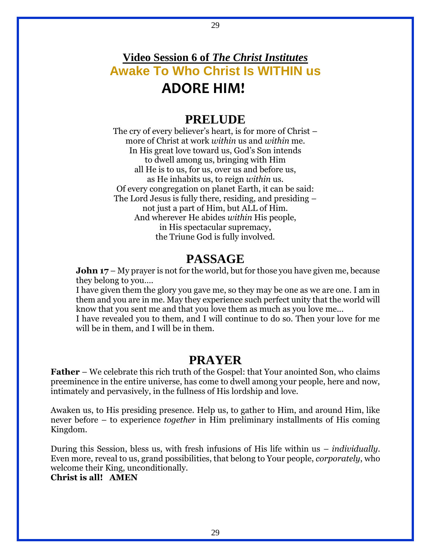## **Video Session 6 of** *The Christ Institutes* **Awake To Who Christ Is WITHIN us ADORE HIM!**

### **PRELUDE**

The cry of every believer's heart, is for more of Christ – more of Christ at work *within* us and *within* me. In His great love toward us, God's Son intends to dwell among us, bringing with Him all He is to us, for us, over us and before us, as He inhabits us, to reign *within* us. Of every congregation on planet Earth, it can be said: The Lord Jesus is fully there, residing, and presiding – not just a part of Him, but ALL of Him. And wherever He abides *within* His people, in His spectacular supremacy, the Triune God is fully involved.

### **PASSAGE**

**John 17** – My prayer is not for the world, but for those you have given me, because they belong to you….

I have given them the glory you gave me, so they may be one as we are one. I am in them and you are in me. May they experience such perfect unity that the world will know that you sent me and that you love them as much as you love me...

I have revealed you to them, and I will continue to do so. Then your love for me will be in them, and I will be in them.

### **PRAYER**

**Father** – We celebrate this rich truth of the Gospel: that Your anointed Son, who claims preeminence in the entire universe, has come to dwell among your people, here and now, intimately and pervasively, in the fullness of His lordship and love.

Awaken us, to His presiding presence. Help us, to gather to Him, and around Him, like never before – to experience *together* in Him preliminary installments of His coming Kingdom.

During this Session, bless us, with fresh infusions of His life within us – *individually*. Even more, reveal to us, grand possibilities, that belong to Your people, *corporately*, who welcome their King, unconditionally.

**Christ is all! AMEN**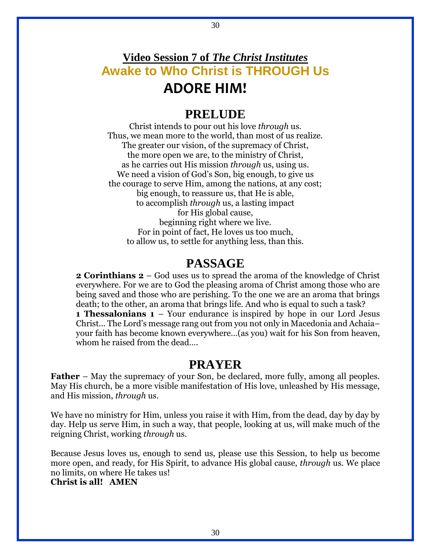## **Video Session 7 of** *The Christ Institutes* **Awake to Who Christ is THROUGH Us ADORE HIM!**

30

### **PRELUDE**

Christ intends to pour out his love *through* us. Thus, we mean more to the world, than most of us realize. The greater our vision, of the supremacy of Christ, the more open we are, to the ministry of Christ, as he carries out His mission *through* us, using us. We need a vision of God's Son, big enough, to give us the courage to serve Him, among the nations, at any cost; big enough, to reassure us, that He is able, to accomplish *through* us, a lasting impact for His global cause, beginning right where we live. For in point of fact, He loves us too much, to allow us, to settle for anything less, than this.

### **PASSAGE**

**2 Corinthians 2** – God uses us to spread the aroma of the knowledge of Christ everywhere. For we are to God the pleasing aroma of Christ among those who are being saved and those who are perishing. To the one we are an aroma that brings death; to the other, an aroma that brings life. And who is equal to such a task? **1 Thessalonians 1** – Your endurance is inspired by hope in our Lord Jesus Christ... The Lord's message rang out from you not only in Macedonia and Achaia– your faith has become known everywhere…(as you) wait for his Son from heaven, whom he raised from the dead...

### **PRAYER**

**Father** – May the supremacy of your Son, be declared, more fully, among all peoples. May His church, be a more visible manifestation of His love, unleashed by His message, and His mission, *through* us.

We have no ministry for Him, unless you raise it with Him, from the dead, day by day by day. Help us serve Him, in such a way, that people, looking at us, will make much of the reigning Christ, working *through* us.

Because Jesus loves us, enough to send us, please use this Session, to help us become more open, and ready, for His Spirit, to advance His global cause, *through* us. We place no limits, on where He takes us!

#### **Christ is all! AMEN**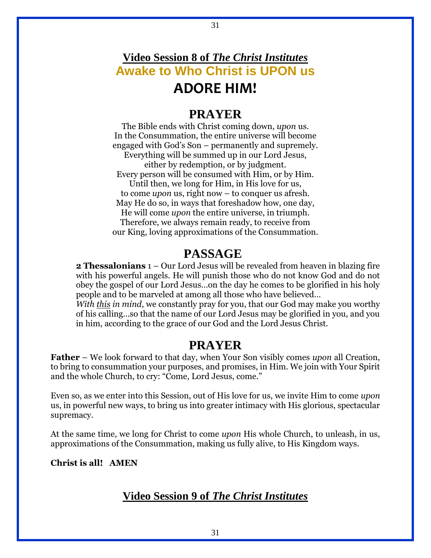## **Video Session 8 of** *The Christ Institutes* **Awake to Who Christ is UPON us ADORE HIM!**

31

### **PRAYER**

The Bible ends with Christ coming down, *upon* us. In the Consummation, the entire universe will become engaged with God's Son – permanently and supremely. Everything will be summed up in our Lord Jesus, either by redemption, or by judgment. Every person will be consumed with Him, or by Him. Until then, we long for Him, in His love for us, to come *upon* us, right now – to conquer us afresh. May He do so, in ways that foreshadow how, one day, He will come *upon* the entire universe, in triumph. Therefore, we always remain ready, to receive from our King, loving approximations of the Consummation.

### **PASSAGE**

**2 Thessalonians** 1 – Our Lord Jesus will be revealed from heaven in blazing fire with his powerful angels. He will punish those who do not know God and do not obey the gospel of our Lord Jesus…on the day he comes to be glorified in his holy people and to be marveled at among all those who have believed…

*With this in mind*, we constantly pray for you, that our God may make you worthy of his calling…so that the name of our Lord Jesus may be glorified in you, and you in him, according to the grace of our God and the Lord Jesus Christ.

### **PRAYER**

**Father** – We look forward to that day, when Your Son visibly comes *upon* all Creation, to bring to consummation your purposes, and promises, in Him. We join with Your Spirit and the whole Church, to cry: "Come, Lord Jesus, come."

Even so, as we enter into this Session, out of His love for us, we invite Him to come *upon* us, in powerful new ways, to bring us into greater intimacy with His glorious, spectacular supremacy.

At the same time, we long for Christ to come *upon* His whole Church, to unleash, in us, approximations of the Consummation, making us fully alive, to His Kingdom ways.

**Christ is all! AMEN**

#### **Video Session 9 of** *The Christ Institutes*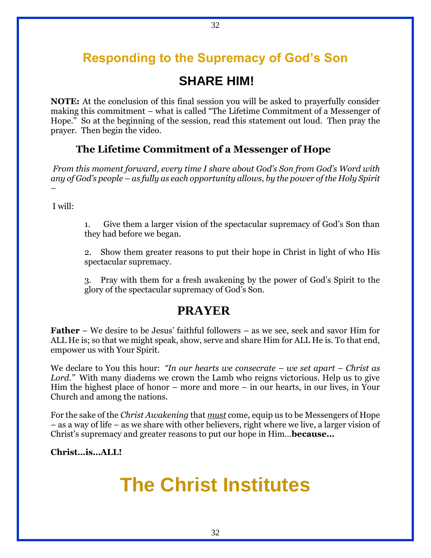## **Responding to the Supremacy of God's Son**

## **SHARE HIM!**

**NOTE:** At the conclusion of this final session you will be asked to prayerfully consider making this commitment – what is called "The Lifetime Commitment of a Messenger of Hope." So at the beginning of the session, read this statement out loud. Then pray the prayer. Then begin the video.

#### **The Lifetime Commitment of a Messenger of Hope**

*From this moment forward, every time I share about God's Son from God's Word with any of God's people – as fully as each opportunity allows, by the power of the Holy Spirit –*

I will:

1. Give them a larger vision of the spectacular supremacy of God's Son than they had before we began.

2. Show them greater reasons to put their hope in Christ in light of who His spectacular supremacy.

3. Pray with them for a fresh awakening by the power of God's Spirit to the glory of the spectacular supremacy of God's Son.

### **PRAYER**

**Father** – We desire to be Jesus' faithful followers – as we see, seek and savor Him for ALL He is; so that we might speak, show, serve and share Him for ALL He is. To that end, empower us with Your Spirit.

We declare to You this hour: *"In our hearts we consecrate – we set apart – Christ as Lord."* With many diadems we crown the Lamb who reigns victorious. Help us to give Him the highest place of honor – more and more – in our hearts, in our lives, in Your Church and among the nations.

For the sake of the *Christ Awakening* that *must* come, equip us to be Messengers of Hope – as a way of life – as we share with other believers, right where we live, a larger vision of Christ's supremacy and greater reasons to put our hope in Him…**because…**

**Christ…is…ALL!**

# **The Christ Institutes**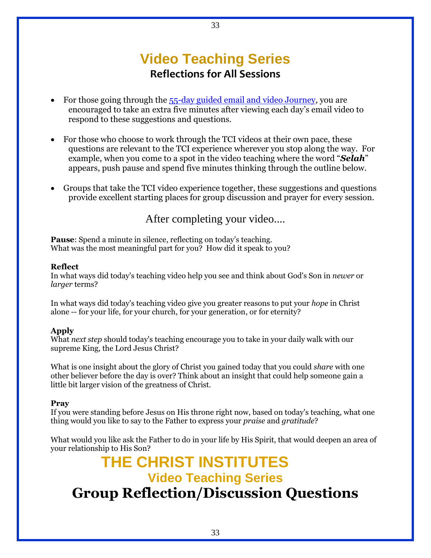## **Video Teaching Series Reflections for All Sessions**

- For those going through the [55-day guided email and video Journey,](http://www.christnow.com/my-christ-awakening-journey/) you are encouraged to take an extra five minutes after viewing each day's email video to respond to these suggestions and questions.
- For those who choose to work through the TCI videos at their own pace, these questions are relevant to the TCI experience wherever you stop along the way. For example, when you come to a spot in the video teaching where the word "*Selah*" appears, push pause and spend five minutes thinking through the outline below.
- Groups that take the TCI video experience together, these suggestions and questions provide excellent starting places for group discussion and prayer for every session.

After completing your video....

**Pause**: Spend a minute in silence, reflecting on today's teaching. What was the most meaningful part for you? How did it speak to you?

#### **Reflect**

In what ways did today's teaching video help you see and think about God's Son in *newer* or *larger* terms?

In what ways did today's teaching video give you greater reasons to put your *hope* in Christ alone -- for your life, for your church, for your generation, or for eternity?

#### **Apply**

What *next step* should today's teaching encourage you to take in your daily walk with our supreme King, the Lord Jesus Christ?

What is one insight about the glory of Christ you gained today that you could *share* with one other believer before the day is over? Think about an insight that could help someone gain a little bit larger vision of the greatness of Christ.

#### **Pray**

If you were standing before Jesus on His throne right now, based on today's teaching, what one thing would you like to say to the Father to express your *praise* and *gratitude*?

What would you like ask the Father to do in your life by His Spirit, that would deepen an area of your relationship to His Son?

## **THE CHRIST INSTITUTES Video Teaching Series Group Reflection/Discussion Questions**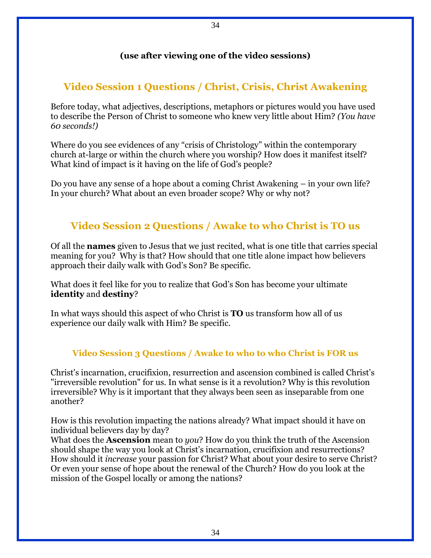#### **(use after viewing one of the video sessions)**

34

### **Video Session 1 Questions / Christ, Crisis, Christ Awakening**

Before today, what adjectives, descriptions, metaphors or pictures would you have used to describe the Person of Christ to someone who knew very little about Him? *(You have 60 seconds!)*

Where do you see evidences of any "crisis of Christology" within the contemporary church at-large or within the church where you worship? How does it manifest itself? What kind of impact is it having on the life of God's people?

Do you have any sense of a hope about a coming Christ Awakening – in your own life? In your church? What about an even broader scope? Why or why not?

### **Video Session 2 Questions / Awake to who Christ is TO us**

Of all the **names** given to Jesus that we just recited, what is one title that carries special meaning for you? Why is that? How should that one title alone impact how believers approach their daily walk with God's Son? Be specific.

What does it feel like for you to realize that God's Son has become your ultimate **identity** and **destiny**?

In what ways should this aspect of who Christ is **TO** us transform how all of us experience our daily walk with Him? Be specific.

#### **Video Session 3 Questions / Awake to who to who Christ is FOR us**

Christ's incarnation, crucifixion, resurrection and ascension combined is called Christ's "irreversible revolution" for us. In what sense is it a revolution? Why is this revolution irreversible? Why is it important that they always been seen as inseparable from one another?

How is this revolution impacting the nations already? What impact should it have on individual believers day by day?

What does the **Ascension** mean to *you*? How do you think the truth of the Ascension should shape the way you look at Christ's incarnation, crucifixion and resurrections? How should it *increase* your passion for Christ? What about your desire to serve Christ? Or even your sense of hope about the renewal of the Church? How do you look at the mission of the Gospel locally or among the nations?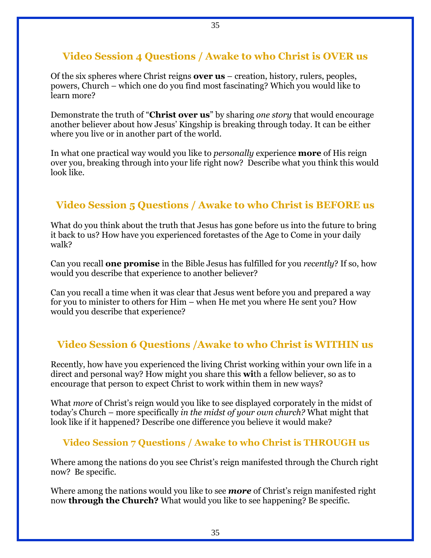#### **Video Session 4 Questions / Awake to who Christ is OVER us**

35

Of the six spheres where Christ reigns **over us** – creation, history, rulers, peoples, powers, Church – which one do you find most fascinating? Which you would like to learn more?

Demonstrate the truth of "**Christ over us**" by sharing *one story* that would encourage another believer about how Jesus' Kingship is breaking through today. It can be either where you live or in another part of the world.

In what one practical way would you like to *personally* experience **more** of His reign over you, breaking through into your life right now? Describe what you think this would look like.

### **Video Session 5 Questions / Awake to who Christ is BEFORE us**

What do you think about the truth that Jesus has gone before us into the future to bring it back to us? How have you experienced foretastes of the Age to Come in your daily walk?

Can you recall **one promise** in the Bible Jesus has fulfilled for you *recently*? If so, how would you describe that experience to another believer?

Can you recall a time when it was clear that Jesus went before you and prepared a way for you to minister to others for Him – when He met you where He sent you? How would you describe that experience?

### **Video Session 6 Questions /Awake to who Christ is WITHIN us**

Recently, how have you experienced the living Christ working within your own life in a direct and personal way? How might you share this **wi**th a fellow believer, so as to encourage that person to expect Christ to work within them in new ways?

What *more* of Christ's reign would you like to see displayed corporately in the midst of today's Church – more specifically *in the midst of your own church?* What might that look like if it happened? Describe one difference you believe it would make?

#### **Video Session 7 Questions / Awake to who Christ is THROUGH us**

Where among the nations do you see Christ's reign manifested through the Church right now? Be specific.

Where among the nations would you like to see *more* of Christ's reign manifested right now **through the Church?** What would you like to see happening? Be specific.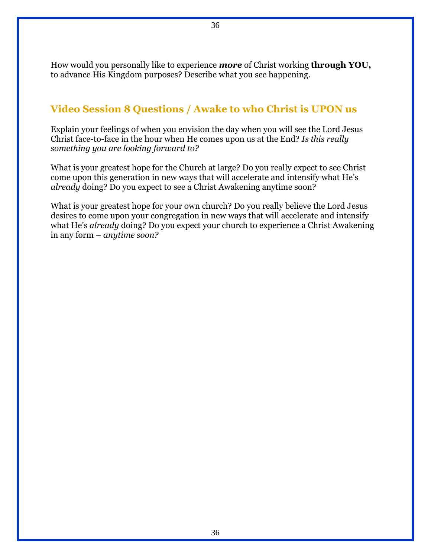How would you personally like to experience *more* of Christ working **through YOU,**  to advance His Kingdom purposes? Describe what you see happening.

36

### **Video Session 8 Questions / Awake to who Christ is UPON us**

Explain your feelings of when you envision the day when you will see the Lord Jesus Christ face-to-face in the hour when He comes upon us at the End? *Is this really something you are looking forward to?* 

What is your greatest hope for the Church at large? Do you really expect to see Christ come upon this generation in new ways that will accelerate and intensify what He's *already* doing? Do you expect to see a Christ Awakening anytime soon?

What is your greatest hope for your own church? Do you really believe the Lord Jesus desires to come upon your congregation in new ways that will accelerate and intensify what He's *already* doing? Do you expect your church to experience a Christ Awakening in any form – *anytime soon?*

36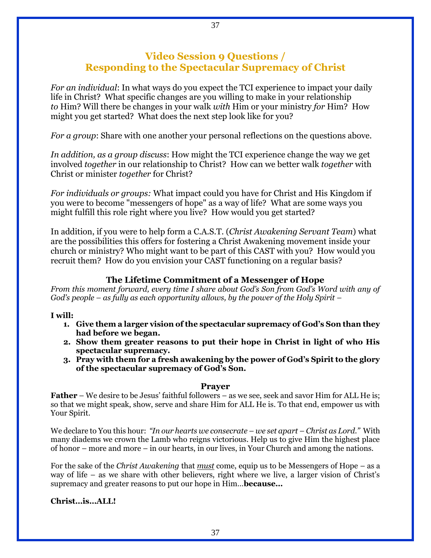#### **Video Session 9 Questions / Responding to the Spectacular Supremacy of Christ**

*For an individual*: In what ways do you expect the TCI experience to impact your daily life in Christ? What specific changes are you willing to make in your relationship *to* Him? Will there be changes in your walk *with* Him or your ministry *for* Him? How might you get started? What does the next step look like for you?

*For a group*: Share with one another your personal reflections on the questions above.

*In addition, as a group discuss*: How might the TCI experience change the way we get involved *together* in our relationship to Christ? How can we better walk *together* with Christ or minister *together* for Christ?

*For individuals or groups:* What impact could you have for Christ and His Kingdom if you were to become "messengers of hope" as a way of life? What are some ways you might fulfill this role right where you live? How would you get started?

In addition, if you were to help form a C.A.S.T. (*Christ Awakening Servant Team*) what are the possibilities this offers for fostering a Christ Awakening movement inside your church or ministry? Who might want to be part of this CAST with you? How would you recruit them? How do you envision your CAST functioning on a regular basis?

#### **The Lifetime Commitment of a Messenger of Hope**

*From this moment forward, every time I share about God's Son from God's Word with any of God's people – as fully as each opportunity allows, by the power of the Holy Spirit –*

#### **I will:**

- **1. Give them a larger vision of the spectacular supremacy of God's Son than they had before we began.**
- **2. Show them greater reasons to put their hope in Christ in light of who His spectacular supremacy.**
- **3. Pray with them for a fresh awakening by the power of God's Spirit to the glory of the spectacular supremacy of God's Son.**

#### **Prayer**

**Father** – We desire to be Jesus' faithful followers – as we see, seek and savor Him for ALL He is; so that we might speak, show, serve and share Him for ALL He is. To that end, empower us with Your Spirit.

We declare to You this hour: *"In our hearts we consecrate – we set apart – Christ as Lord."* With many diadems we crown the Lamb who reigns victorious. Help us to give Him the highest place of honor – more and more – in our hearts, in our lives, in Your Church and among the nations.

For the sake of the *Christ Awakening* that *must* come, equip us to be Messengers of Hope – as a way of life – as we share with other believers, right where we live, a larger vision of Christ's supremacy and greater reasons to put our hope in Him…**because…**

**Christ…is…ALL!**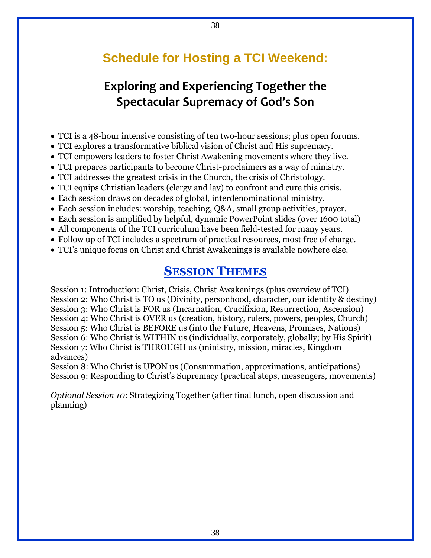## **Schedule for Hosting a TCI Weekend:**

38

## **Exploring and Experiencing Together the Spectacular Supremacy of God's Son**

- TCI is a 48-hour intensive consisting of ten two-hour sessions; plus open forums.
- TCI explores a transformative biblical vision of Christ and His supremacy.
- TCI empowers leaders to foster Christ Awakening movements where they live.
- TCI prepares participants to become Christ-proclaimers as a way of ministry.
- TCI addresses the greatest crisis in the Church, the crisis of Christology.
- TCI equips Christian leaders (clergy and lay) to confront and cure this crisis.
- Each session draws on decades of global, interdenominational ministry.
- Each session includes: worship, teaching, Q&A, small group activities, prayer.
- Each session is amplified by helpful, dynamic PowerPoint slides (over 1600 total)
- All components of the TCI curriculum have been field-tested for many years.
- Follow up of TCI includes a spectrum of practical resources, most free of charge.
- TCI's unique focus on Christ and Christ Awakenings is available nowhere else.

### **SESSION THEMES**

Session 1: Introduction: Christ, Crisis, Christ Awakenings (plus overview of TCI) Session 2: Who Christ is TO us (Divinity, personhood, character, our identity & destiny) Session 3: Who Christ is FOR us (Incarnation, Crucifixion, Resurrection, Ascension) Session 4: Who Christ is OVER us (creation, history, rulers, powers, peoples, Church) Session 5: Who Christ is BEFORE us (into the Future, Heavens, Promises, Nations) Session 6: Who Christ is WITHIN us (individually, corporately, globally; by His Spirit) Session 7: Who Christ is THROUGH us (ministry, mission, miracles, Kingdom advances)

Session 8: Who Christ is UPON us (Consummation, approximations, anticipations) Session 9: Responding to Christ's Supremacy (practical steps, messengers, movements)

*Optional Session 10*: Strategizing Together (after final lunch, open discussion and planning)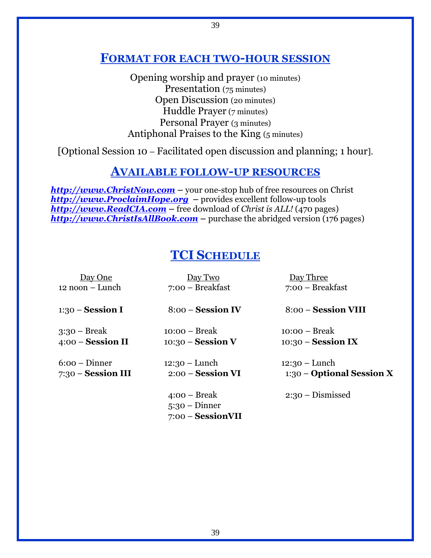### **FORMAT FOR EACH TWO-HOUR SESSION**

Opening worship and prayer (10 minutes) Presentation (75 minutes) Open Discussion (20 minutes) Huddle Prayer (7 minutes) Personal Prayer (3 minutes) Antiphonal Praises to the King (5 minutes)

[Optional Session 10 – Facilitated open discussion and planning; 1 hour].

### **AVAILABLE FOLLOW-UP RESOURCES**

**[http://www.ChristNow.com](http://www.christnow.com/)** – your one-stop hub of free resources on Christ *[http://www.ProclaimHope.org](http://www.proclaimhope.org/)* **–** provides excellent follow-up tools *[http://www.ReadCIA.com](http://www.readcia.com/)* **–** free download of *Christ is ALL!* (470 pages) *[http://www.ChristIsAllBook.com](http://www.christisallbook.com/)* **–** purchase the abridged version (176 pages)

## **TCI SCHEDULE**

| Day One              | Day Two                                                | Day Three                 |
|----------------------|--------------------------------------------------------|---------------------------|
| $12$ noon – Lunch    | $7:00$ – Breakfast                                     | $7:00$ – Breakfast        |
| $1:30$ – Session I   | $8:00$ – Session IV                                    | 8:00 – Session VIII       |
| $3:30$ – Break       | $10:00 - Break$                                        | $10:00 - Break$           |
| $4:00$ – Session II  | $10:30$ – Session V                                    | $10:30$ – Session IX      |
| $6:00 -$ Dinner      | $12:30 - Lunch$                                        | $12:30 - Lunch$           |
| $7:30$ – Session III | $2:00$ – Session VI                                    | 1:30 – Optional Session X |
|                      | $4:00 - Break$<br>$5:30 - Dinner$<br>7:00 - SessionVII | $2:30$ – Dismissed        |